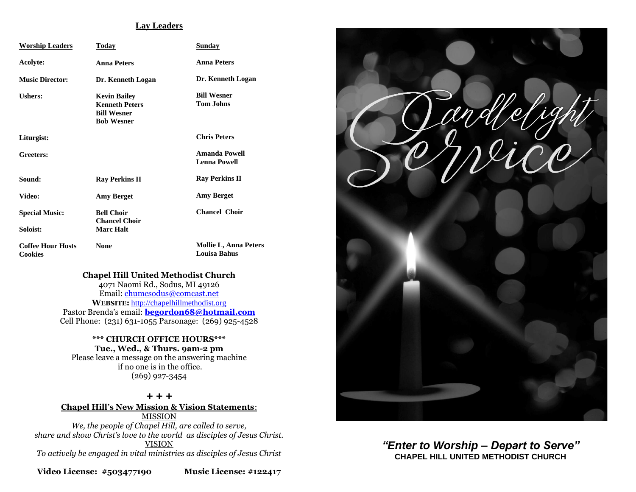#### **Lay Leaders**

| <b>Worship Leaders</b>                     | Today                                                                                   | Sunday                                              |
|--------------------------------------------|-----------------------------------------------------------------------------------------|-----------------------------------------------------|
| Acolyte:                                   | <b>Anna Peters</b>                                                                      | <b>Anna Peters</b>                                  |
| <b>Music Director:</b>                     | Dr. Kenneth Logan                                                                       | Dr. Kenneth Logan                                   |
| Ushers:                                    | <b>Kevin Bailey</b><br><b>Kenneth Peters</b><br><b>Bill Wesner</b><br><b>Bob Wesner</b> | <b>Bill Wesner</b><br><b>Tom Johns</b>              |
| Liturgist:                                 |                                                                                         | <b>Chris Peters</b>                                 |
| Greeters:                                  |                                                                                         | Amanda Powell<br><b>Lenna Powell</b>                |
| Sound:                                     | <b>Ray Perkins II</b>                                                                   | <b>Ray Perkins II</b>                               |
| Video:                                     | <b>Amy Berget</b>                                                                       | <b>Amy Berget</b>                                   |
| <b>Special Music:</b><br>Soloist:          | <b>Bell Choir</b><br><b>Chancel Choir</b><br><b>Marc Halt</b>                           | <b>Chancel Choir</b>                                |
| <b>Coffee Hour Hosts</b><br><b>Cookies</b> | <b>None</b>                                                                             | <b>Mollie L, Anna Peters</b><br><b>Louisa Bahus</b> |

### **Chapel Hill United Methodist Church**

4071 Naomi Rd., Sodus, MI 49126 Email: [chumcsodus@comcast.net](mailto:chumcsodus@comcast.net) **WEBSITE:** [http://chapelhillmethodist.org](http://chapelhillmethodist.org/) Pastor Brenda's email: **[begordon68@hotmail.com](mailto:begordon68@hotmail.com)** Cell Phone: (231) 631-1055 Parsonage: (269) 925-4528

**\*\*\* CHURCH OFFICE HOURS\*\*\* Tue., Wed., & Thurs. 9am-2 pm** Please leave a message on the answering machine if no one is in the office. (269) 927-3454

*+ + +* **Chapel Hill's New Mission & Vision Statements**: MISSION *We, the people of Chapel Hill, are called to serve, share and show Christ's love to the world as disciples of Jesus Christ.* VISION *To actively be engaged in vital ministries as disciples of Jesus Christ*

**Video License: #503477190 Music License: #122417**



*"Enter to Worship – Depart to Serve"* **CHAPEL HILL UNITED METHODIST CHURCH**